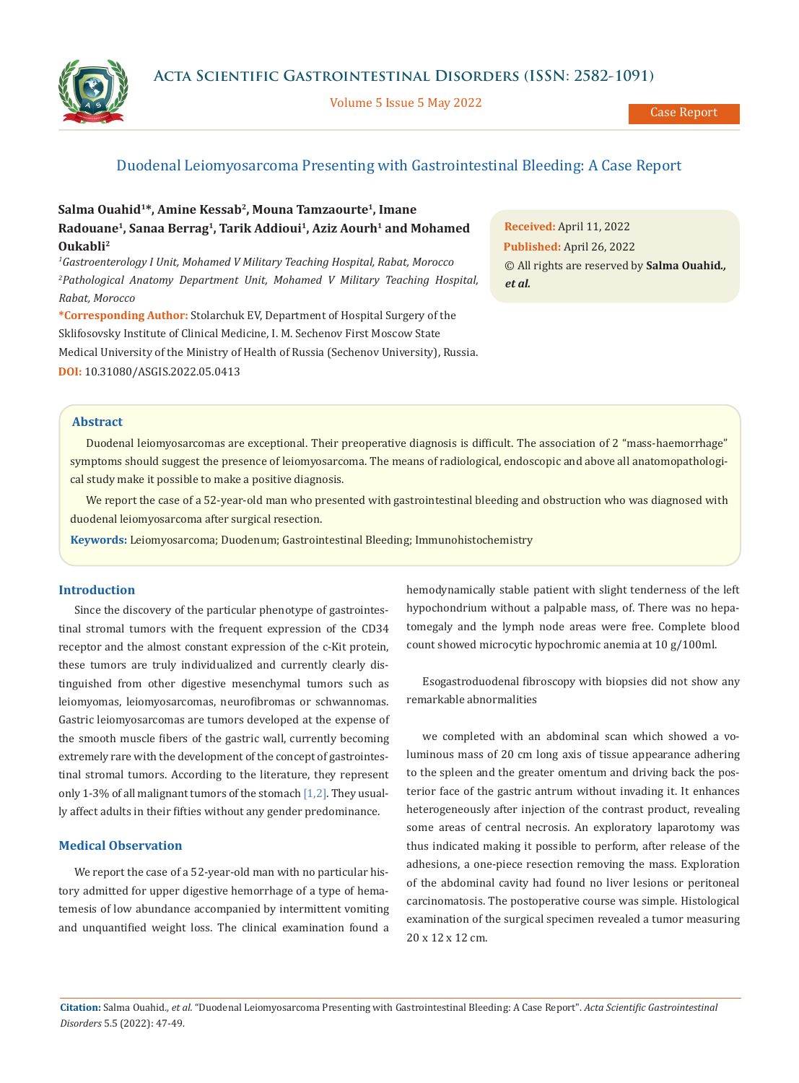**Acta Scientific Gastrointestinal Disorders (ISSN: 2582-1091)**

Volume 5 Issue 5 May 2022

Case Report

## Duodenal Leiomyosarcoma Presenting with Gastrointestinal Bleeding: A Case Report

# Salma Ouahid<sup>1\*</sup>, Amine Kessab<sup>2</sup>, Mouna Tamzaourte<sup>1</sup>, Imane Radouane<sup>1</sup>, Sanaa Berrag<sup>1</sup>, Tarik Addioui<sup>1</sup>, Aziz Aourh<sup>1</sup> and Mohamed **Oukabli2**

*1 Gastroenterology I Unit, Mohamed V Military Teaching Hospital, Rabat, Morocco 2 Pathological Anatomy Department Unit, Mohamed V Military Teaching Hospital, Rabat, Morocco* 

**\*Corresponding Author:** Stolarchuk EV, Department of Hospital Surgery of the Sklifosovsky Institute of Clinical Medicine, I. M. Sechenov First Moscow State Medical University of the Ministry of Health of Russia (Sechenov University), Russia. **DOI:** [10.31080/ASGIS.2022.05.0413](https://actascientific.com/ASGIS/pdf/ASGIS-05-0413.pdf)

**Received:** April 11, 2022 **Published:** April 26, 2022 © All rights are reserved by **Salma Ouahid***., et al.*

#### **Abstract**

Duodenal leiomyosarcomas are exceptional. Their preoperative diagnosis is difficult. The association of 2 "mass-haemorrhage" symptoms should suggest the presence of leiomyosarcoma. The means of radiological, endoscopic and above all anatomopathological study make it possible to make a positive diagnosis.

We report the case of a 52-year-old man who presented with gastrointestinal bleeding and obstruction who was diagnosed with duodenal leiomyosarcoma after surgical resection.

**Keywords:** Leiomyosarcoma; Duodenum; Gastrointestinal Bleeding; Immunohistochemistry

#### **Introduction**

Since the discovery of the particular phenotype of gastrointestinal stromal tumors with the frequent expression of the CD34 receptor and the almost constant expression of the c-Kit protein, these tumors are truly individualized and currently clearly distinguished from other digestive mesenchymal tumors such as leiomyomas, leiomyosarcomas, neurofibromas or schwannomas. Gastric leiomyosarcomas are tumors developed at the expense of the smooth muscle fibers of the gastric wall, currently becoming extremely rare with the development of the concept of gastrointestinal stromal tumors. According to the literature, they represent only 1-3% of all malignant tumors of the stomach [1,2]. They usually affect adults in their fifties without any gender predominance.

#### **Medical Observation**

We report the case of a 52-year-old man with no particular history admitted for upper digestive hemorrhage of a type of hematemesis of low abundance accompanied by intermittent vomiting and unquantified weight loss. The clinical examination found a hemodynamically stable patient with slight tenderness of the left hypochondrium without a palpable mass, of. There was no hepatomegaly and the lymph node areas were free. Complete blood count showed microcytic hypochromic anemia at 10 g/100ml.

Esogastroduodenal fibroscopy with biopsies did not show any remarkable abnormalities

we completed with an abdominal scan which showed a voluminous mass of 20 cm long axis of tissue appearance adhering to the spleen and the greater omentum and driving back the posterior face of the gastric antrum without invading it. It enhances heterogeneously after injection of the contrast product, revealing some areas of central necrosis. An exploratory laparotomy was thus indicated making it possible to perform, after release of the adhesions, a one-piece resection removing the mass. Exploration of the abdominal cavity had found no liver lesions or peritoneal carcinomatosis. The postoperative course was simple. Histological examination of the surgical specimen revealed a tumor measuring 20 x 12 x 12 cm.

**Citation:** Salma Ouahid*., et al.* "Duodenal Leiomyosarcoma Presenting with Gastrointestinal Bleeding: A Case Report". *Acta Scientific Gastrointestinal Disorders* 5.5 (2022): 47-49.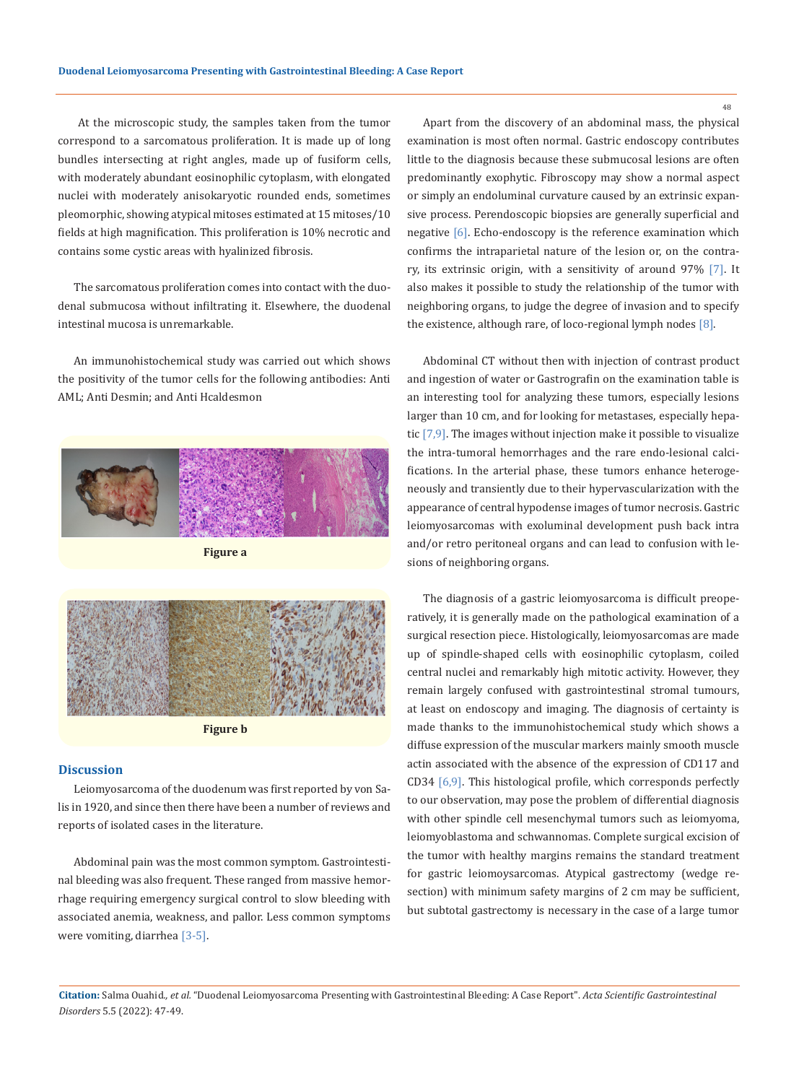At the microscopic study, the samples taken from the tumor correspond to a sarcomatous proliferation. It is made up of long bundles intersecting at right angles, made up of fusiform cells, with moderately abundant eosinophilic cytoplasm, with elongated nuclei with moderately anisokaryotic rounded ends, sometimes pleomorphic, showing atypical mitoses estimated at 15 mitoses/10 fields at high magnification. This proliferation is 10% necrotic and contains some cystic areas with hyalinized fibrosis.

The sarcomatous proliferation comes into contact with the duodenal submucosa without infiltrating it. Elsewhere, the duodenal intestinal mucosa is unremarkable.

An immunohistochemical study was carried out which shows the positivity of the tumor cells for the following antibodies: Anti AML; Anti Desmin; and Anti Hcaldesmon



**Figure b**

#### **Discussion**

Leiomyosarcoma of the duodenum was first reported by von Salis in 1920, and since then there have been a number of reviews and reports of isolated cases in the literature.

Abdominal pain was the most common symptom. Gastrointestinal bleeding was also frequent. These ranged from massive hemorrhage requiring emergency surgical control to slow bleeding with associated anemia, weakness, and pallor. Less common symptoms were vomiting, diarrhea [3-5].

Apart from the discovery of an abdominal mass, the physical examination is most often normal. Gastric endoscopy contributes little to the diagnosis because these submucosal lesions are often predominantly exophytic. Fibroscopy may show a normal aspect or simply an endoluminal curvature caused by an extrinsic expansive process. Perendoscopic biopsies are generally superficial and negative [6]. Echo-endoscopy is the reference examination which confirms the intraparietal nature of the lesion or, on the contrary, its extrinsic origin, with a sensitivity of around 97% [7]. It also makes it possible to study the relationship of the tumor with neighboring organs, to judge the degree of invasion and to specify the existence, although rare, of loco-regional lymph nodes  $[8]$ .

Abdominal CT without then with injection of contrast product and ingestion of water or Gastrografin on the examination table is an interesting tool for analyzing these tumors, especially lesions larger than 10 cm, and for looking for metastases, especially hepatic [7,9]. The images without injection make it possible to visualize the intra-tumoral hemorrhages and the rare endo-lesional calcifications. In the arterial phase, these tumors enhance heterogeneously and transiently due to their hypervascularization with the appearance of central hypodense images of tumor necrosis. Gastric leiomyosarcomas with exoluminal development push back intra and/or retro peritoneal organs and can lead to confusion with lesions of neighboring organs.

The diagnosis of a gastric leiomyosarcoma is difficult preoperatively, it is generally made on the pathological examination of a surgical resection piece. Histologically, leiomyosarcomas are made up of spindle-shaped cells with eosinophilic cytoplasm, coiled central nuclei and remarkably high mitotic activity. However, they remain largely confused with gastrointestinal stromal tumours, at least on endoscopy and imaging. The diagnosis of certainty is made thanks to the immunohistochemical study which shows a diffuse expression of the muscular markers mainly smooth muscle actin associated with the absence of the expression of CD117 and CD34 [6,9]. This histological profile, which corresponds perfectly to our observation, may pose the problem of differential diagnosis with other spindle cell mesenchymal tumors such as leiomyoma, leiomyoblastoma and schwannomas. Complete surgical excision of the tumor with healthy margins remains the standard treatment for gastric leiomoysarcomas. Atypical gastrectomy (wedge resection) with minimum safety margins of 2 cm may be sufficient, but subtotal gastrectomy is necessary in the case of a large tumor

**Citation:** Salma Ouahid*., et al.* "Duodenal Leiomyosarcoma Presenting with Gastrointestinal Bleeding: A Case Report". *Acta Scientific Gastrointestinal Disorders* 5.5 (2022): 47-49.

48